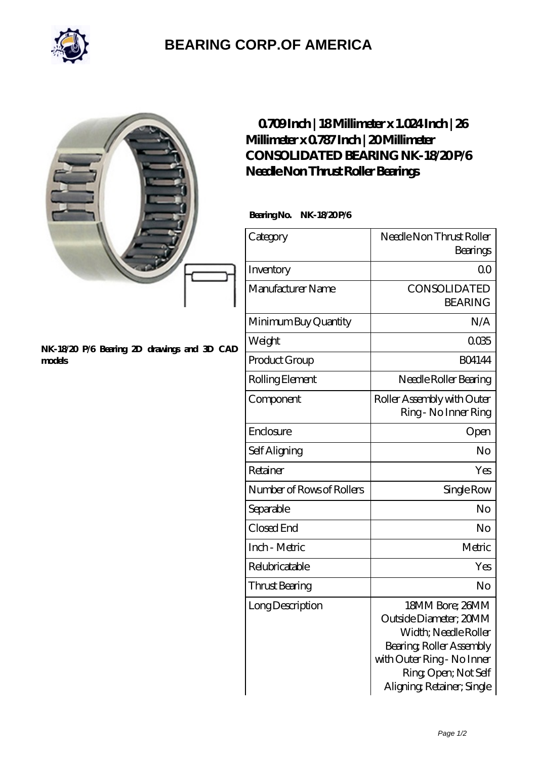

## **[BEARING CORP.OF AMERICA](https://bluemondayreview.com)**

|                                                       |               | 0709Inch   18Millimeter x 1.024Inch   26<br>Millimeter x 0787 Inch   20 Millimeter<br>CONSOLIDATED BEARING NK-18/20P/6<br>Needle Non Thrust Roller Bearings<br>BearingNo.<br>NK-18/20P/6 |                                                                                                                                                                                  |
|-------------------------------------------------------|---------------|------------------------------------------------------------------------------------------------------------------------------------------------------------------------------------------|----------------------------------------------------------------------------------------------------------------------------------------------------------------------------------|
|                                                       |               | Category                                                                                                                                                                                 | Needle Non Thrust Roller<br>Bearings                                                                                                                                             |
|                                                       |               | Inventory                                                                                                                                                                                | 0 <sub>0</sub>                                                                                                                                                                   |
|                                                       |               | Manufacturer Name                                                                                                                                                                        | CONSOLIDATED<br><b>BEARING</b>                                                                                                                                                   |
| NK-18/20 P/6 Bearing 2D drawings and 3D CAD<br>models |               | Minimum Buy Quantity                                                                                                                                                                     | N/A                                                                                                                                                                              |
|                                                       | Weight        | 0035                                                                                                                                                                                     |                                                                                                                                                                                  |
|                                                       | Product Group | <b>BO4144</b>                                                                                                                                                                            |                                                                                                                                                                                  |
|                                                       |               | Rolling Element                                                                                                                                                                          | Needle Roller Bearing                                                                                                                                                            |
|                                                       |               | Component                                                                                                                                                                                | Roller Assembly with Outer<br>Ring - No Inner Ring                                                                                                                               |
|                                                       |               | Enclosure                                                                                                                                                                                | Open                                                                                                                                                                             |
|                                                       |               | Self Aligning                                                                                                                                                                            | No                                                                                                                                                                               |
|                                                       |               | Retainer                                                                                                                                                                                 | Yes                                                                                                                                                                              |
|                                                       |               | Number of Rows of Rollers                                                                                                                                                                | Single Row                                                                                                                                                                       |
|                                                       |               | Separable                                                                                                                                                                                | No                                                                                                                                                                               |
|                                                       |               | Closed End                                                                                                                                                                               | No                                                                                                                                                                               |
|                                                       |               | Inch - Metric                                                                                                                                                                            | Metric                                                                                                                                                                           |
|                                                       |               | Relubricatable                                                                                                                                                                           | Yes                                                                                                                                                                              |
|                                                       |               | Thrust Bearing                                                                                                                                                                           | No                                                                                                                                                                               |
|                                                       |               | Long Description                                                                                                                                                                         | 18MM Bore; 26MM<br>Outside Diameter; 20MM<br>Width; Needle Roller<br>Bearing, Roller Assembly<br>with Outer Ring - No Inner<br>Ring, Open; Not Self<br>Aligning Retainer; Single |